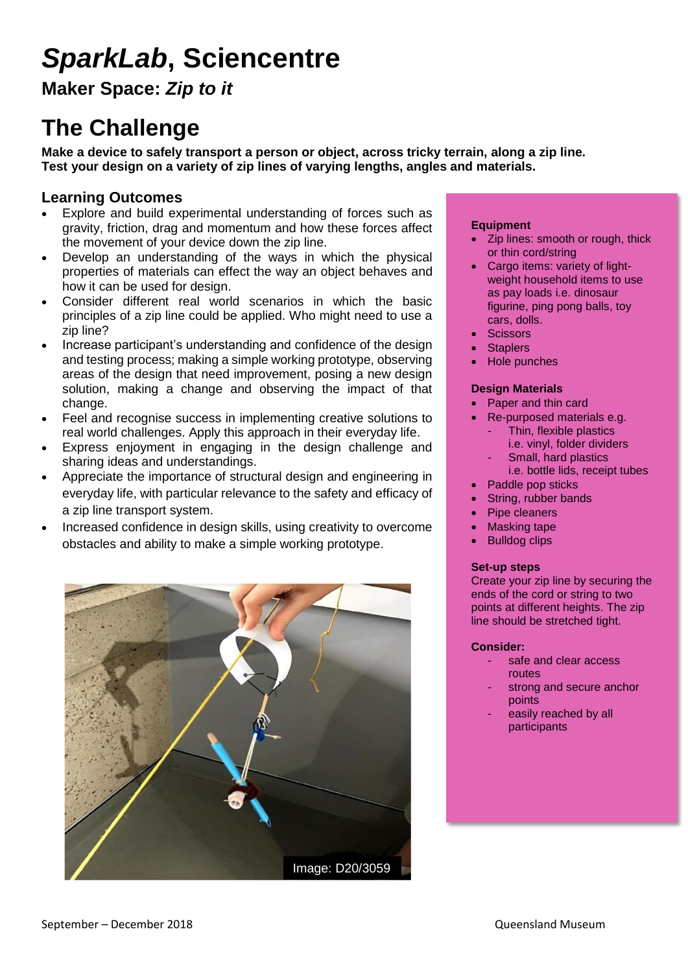# *SparkLab***, Sciencentre**

**Maker Space:** *Zip to it*

### **The Challenge**

**Make a device to safely transport a person or object, across tricky terrain, along a zip line. Test your design on a variety of zip lines of varying lengths, angles and materials.** 

### **Learning Outcomes**

- Explore and build experimental understanding of forces such as gravity, friction, drag and momentum and how these forces affect the movement of your device down the zip line.
- Develop an understanding of the ways in which the physical properties of materials can effect the way an object behaves and how it can be used for design.
- Consider different real world scenarios in which the basic principles of a zip line could be applied. Who might need to use a zip line?
- Increase participant's understanding and confidence of the design and testing process; making a simple working prototype, observing areas of the design that need improvement, posing a new design solution, making a change and observing the impact of that change.
- Feel and recognise success in implementing creative solutions to real world challenges. Apply this approach in their everyday life.
- Express enjoyment in engaging in the design challenge and sharing ideas and understandings.
- Appreciate the importance of structural design and engineering in everyday life, with particular relevance to the safety and efficacy of a zip line transport system.
- Increased confidence in design skills, using creativity to overcome obstacles and ability to make a simple working prototype.



### **Equipment**

- Zip lines: smooth or rough, thick or thin cord/string
- Cargo items: variety of lightweight household items to use as pay loads i.e. dinosaur figurine, ping pong balls, toy cars, dolls.
- **Scissors**
- **Staplers**
- Hole punches

#### **Design Materials**

- Paper and thin card
- Re-purposed materials e.g.
	- Thin, flexible plastics i.e. vinyl, folder dividers
	- Small, hard plastics
	- i.e. bottle lids, receipt tubes Paddle pop sticks
- String, rubber bands
- Pipe cleaners
- Masking tape
- Bulldog clips

#### **Set-up steps**

Create your zip line by securing the ends of the cord or string to two points at different heights. The zip line should be stretched tight.

### **Consider:**

- safe and clear access routes
- strong and secure anchor points
- easily reached by all participants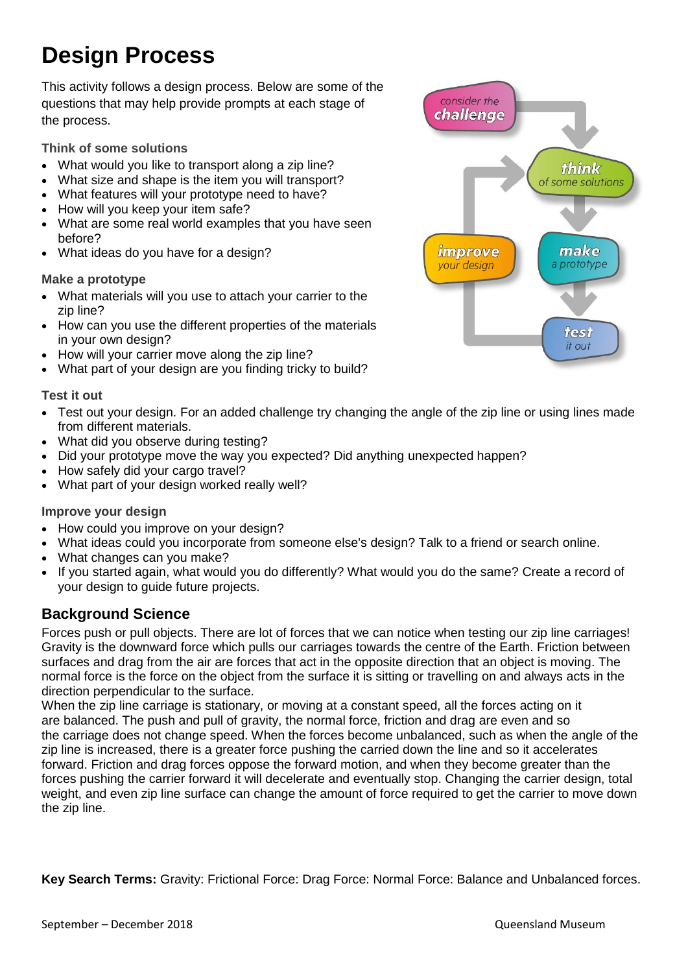## **Design Process**

This activity follows a design process. Below are some of the questions that may help provide prompts at each stage of the process.

**Think of some solutions**

- What would you like to transport along a zip line?
- What size and shape is the item you will transport?
- What features will your prototype need to have?
- How will you keep your item safe?
- What are some real world examples that you have seen before?
- What ideas do you have for a design?

### **Make a prototype**

- What materials will you use to attach your carrier to the zip line?
- How can you use the different properties of the materials in your own design?
- How will your carrier move along the zip line?
- What part of your design are you finding tricky to build?

### **Test it out**

- Test out your design. For an added challenge try changing the angle of the zip line or using lines made from different materials.
- What did you observe during testing?
- Did your prototype move the way you expected? Did anything unexpected happen?
- How safely did your cargo travel?
- What part of your design worked really well?

### **Improve your design**

- How could you improve on your design?
- What ideas could you incorporate from someone else's design? Talk to a friend or search online.
- What changes can you make?
- If you started again, what would you do differently? What would you do the same? Create a record of your design to guide future projects.

### **Background Science**

Forces push or pull objects. There are lot of forces that we can notice when testing our zip line carriages! Gravity is the downward force which pulls our carriages towards the centre of the Earth. Friction between surfaces and drag from the air are forces that act in the opposite direction that an object is moving. The normal force is the force on the object from the surface it is sitting or travelling on and always acts in the direction perpendicular to the surface.

When the zip line carriage is stationary, or moving at a constant speed, all the forces acting on it are balanced. The push and pull of gravity, the normal force, friction and drag are even and so the carriage does not change speed. When the forces become unbalanced, such as when the angle of the zip line is increased, there is a greater force pushing the carried down the line and so it accelerates forward. Friction and drag forces oppose the forward motion, and when they become greater than the forces pushing the carrier forward it will decelerate and eventually stop. Changing the carrier design, total weight, and even zip line surface can change the amount of force required to get the carrier to move down the zip line.

**Key Search Terms:** Gravity: Frictional Force: Drag Force: Normal Force: Balance and Unbalanced forces.